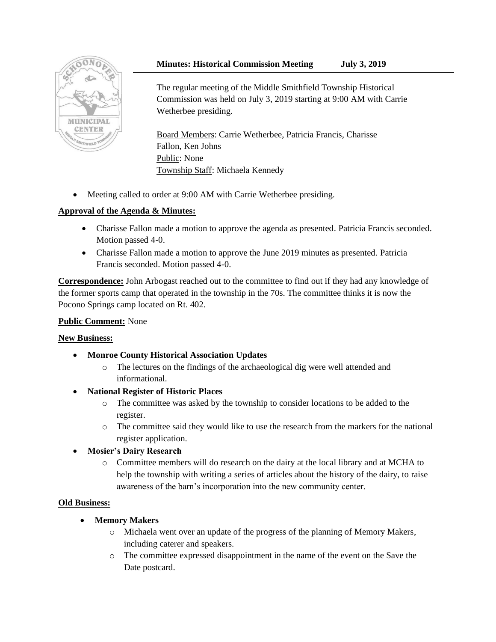# **Minutes: Historical Commission Meeting July 3, 2019**



The regular meeting of the Middle Smithfield Township Historical Commission was held on July 3, 2019 starting at 9:00 AM with Carrie Wetherbee presiding.

Board Members: Carrie Wetherbee, Patricia Francis, Charisse Fallon, Ken Johns Public: None Township Staff: Michaela Kennedy

• Meeting called to order at 9:00 AM with Carrie Wetherbee presiding.

# **Approval of the Agenda & Minutes:**

- Charisse Fallon made a motion to approve the agenda as presented. Patricia Francis seconded. Motion passed 4-0.
- Charisse Fallon made a motion to approve the June 2019 minutes as presented. Patricia Francis seconded. Motion passed 4-0.

**Correspondence:** John Arbogast reached out to the committee to find out if they had any knowledge of the former sports camp that operated in the township in the 70s. The committee thinks it is now the Pocono Springs camp located on Rt. 402.

### **Public Comment:** None

### **New Business:**

- **Monroe County Historical Association Updates**
	- o The lectures on the findings of the archaeological dig were well attended and informational.
- **National Register of Historic Places**
	- o The committee was asked by the township to consider locations to be added to the register.
	- o The committee said they would like to use the research from the markers for the national register application.
- **Mosier's Dairy Research**
	- o Committee members will do research on the dairy at the local library and at MCHA to help the township with writing a series of articles about the history of the dairy, to raise awareness of the barn's incorporation into the new community center.

### **Old Business:**

- **Memory Makers**
	- o Michaela went over an update of the progress of the planning of Memory Makers, including caterer and speakers.
	- o The committee expressed disappointment in the name of the event on the Save the Date postcard.